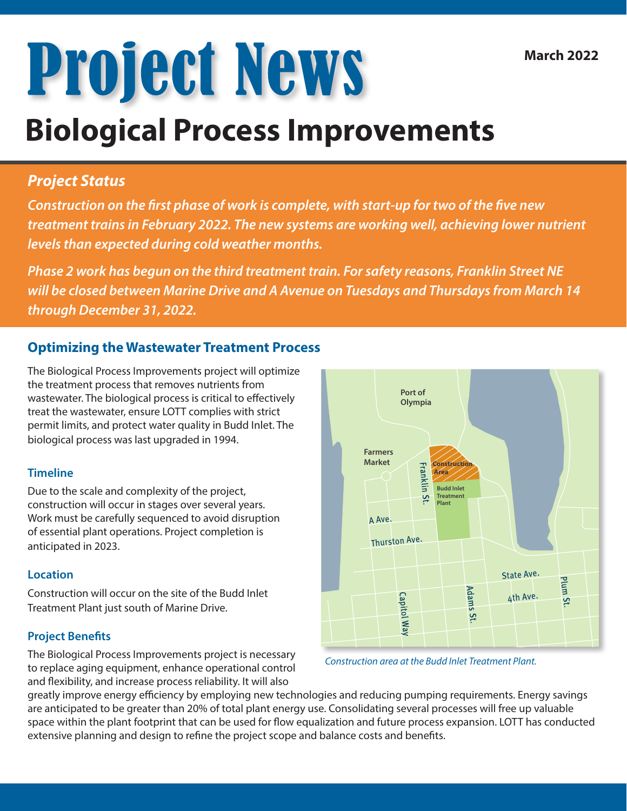# **Project News**

## **Biological Process Improvements**

### *Project Status*

*Construction on the first phase of work is complete, with start-up for two of the five new treatment trains in February 2022. The new systems are working well, achieving lower nutrient levels than expected during cold weather months.* 

*Phase 2 work has begun on the third treatment train. For safety reasons, Franklin Street NE will be closed between Marine Drive and A Avenue on Tuesdays and Thursdays from March 14 through December 31, 2022.*

#### **Optimizing the Wastewater Treatment Process**

The Biological Process Improvements project will optimize the treatment process that removes nutrients from wastewater. The biological process is critical to effectively treat the wastewater, ensure LOTT complies with strict permit limits, and protect water quality in Budd Inlet. The biological process was last upgraded in 1994.

#### **Timeline**

Due to the scale and complexity of the project, construction will occur in stages over several years. Work must be carefully sequenced to avoid disruption of essential plant operations. Project completion is anticipated in 2023.

#### **Location**

Construction will occur on the site of the Budd Inlet Treatment Plant just south of Marine Drive.

#### **Project Benefits**

The Biological Process Improvements project is necessary to replace aging equipment, enhance operational control and flexibility, and increase process reliability. It will also

greatly improve energy efficiency by employing new technologies and reducing pumping requirements. Energy savings are anticipated to be greater than 20% of total plant energy use. Consolidating several processes will free up valuable space within the plant footprint that can be used for flow equalization and future process expansion. LOTT has conducted extensive planning and design to refine the project scope and balance costs and benefits.





**Farmers** 

**Port of Olympia**